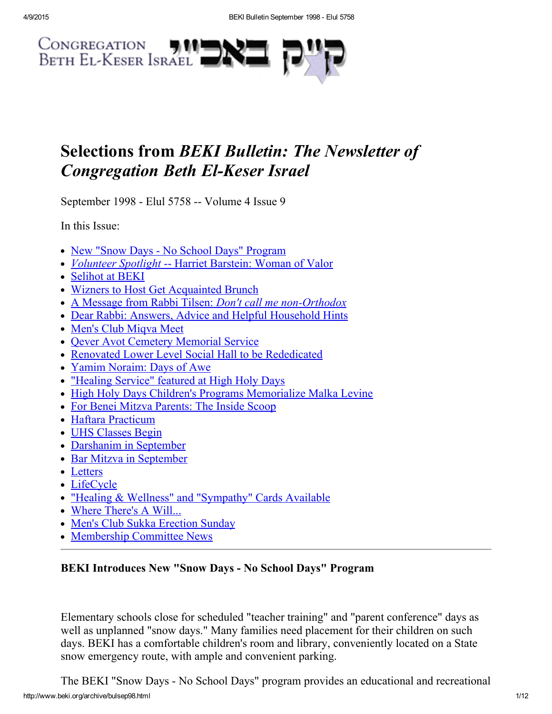

# Selections from BEKI Bulletin: The Newsletter of **Congregation Beth El-Keser Israel**

September 1998 - Elul 5758 -- Volume 4 Issue 9

In this Issue:

- New "Snow Days No School Days" [Program](#page-0-0)
- [Volunteer](#page-1-0) Spotlight -- Harriet Barstein: Woman of Valor
- [Selihot](#page-2-0) at BEKI
- Wizners to Host Get [Acquainted](#page-3-1) Brunch
- A Message from Rabbi Tilsen: Don't call me non-Orthodox
- Dear Rabbi: Answers, Advice and Helpful [Household](#page-4-0) Hints
- Men's Club Migya Meet
- Qever Avot Cemetery [Memorial](#page-5-1) Service
- Renovated Lower Level Social Hall to be [Rededicated](#page-5-2)
- Yamim [Noraim:](#page-6-2) Days of Awe
- ["Healing](#page-6-1) Service" featured at High Holy Days
- High Holy Days Children's Programs [Memorialize](#page-6-0) Malka Levine
- For Benei Mitzva [Parents:](#page-7-0) The Inside Scoop
- Haftara [Practicum](#page-7-2)
- UHS [Classes](#page-7-1) Begin
- [Darshanim](#page-8-1) in September
- Bar Mitzva in [September](#page-8-3)
- [Letters](#page-8-0)
- [LifeCycle](#page-8-2)
- "Healing & Wellness" and ["Sympathy"](#page-9-0) Cards Available
- Where [There's](#page-9-1) A Will...
- Men's Club Sukka [Erection](#page-10-1) Sunday
- [Membership](#page-10-0) Committee News

# <span id="page-0-0"></span>BEKI Introduces New "Snow Days - No School Days" Program

Elementary schools close for scheduled "teacher training" and "parent conference" days as well as unplanned "snow days." Many families need placement for their children on such days. BEKI has a comfortable children's room and library, conveniently located on a State snow emergency route, with ample and convenient parking.

http://www.beki.org/archive/bulsep98.html 1/12 The BEKI "Snow Days - No School Days" program provides an educational and recreational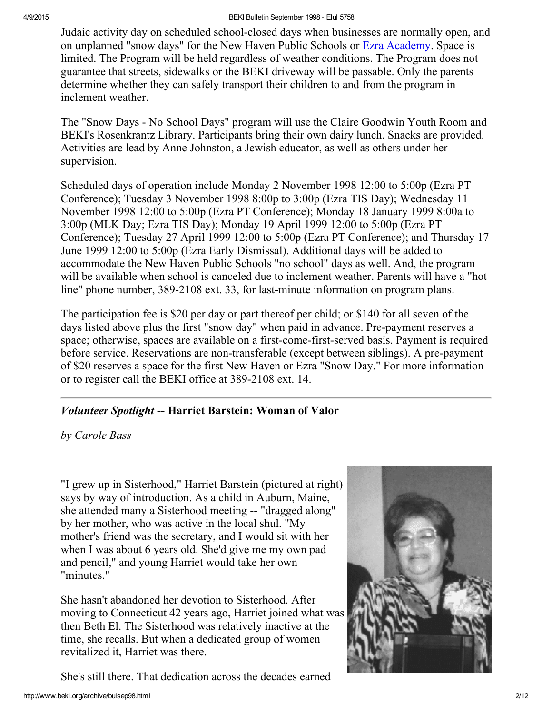Judaic activity day on scheduled school-closed days when businesses are normally open, and on unplanned "snow days" for the New Haven Public Schools or Ezra [Academy.](http://www.uscj.org/ssds/ezra) Space is limited. The Program will be held regardless of weather conditions. The Program does not guarantee that streets, sidewalks or the BEKI driveway will be passable. Only the parents determine whether they can safely transport their children to and from the program in inclement weather.

The "Snow Days - No School Days" program will use the Claire Goodwin Youth Room and BEKI's Rosenkrantz Library. Participants bring their own dairy lunch. Snacks are provided. Activities are lead by Anne Johnston, a Jewish educator, as well as others under her supervision.

Scheduled days of operation include Monday 2 November 1998 12:00 to 5:00p (Ezra PT Conference); Tuesday 3 November 1998 8:00p to 3:00p (Ezra TIS Day); Wednesday 11 November 1998 12:00 to 5:00p (Ezra PT Conference); Monday 18 January 1999 8:00a to 3:00p (MLK Day; Ezra TIS Day); Monday 19 April 1999 12:00 to 5:00p (Ezra PT Conference); Tuesday 27 April 1999 12:00 to 5:00p (Ezra PT Conference); and Thursday 17 June 1999 12:00 to 5:00p (Ezra Early Dismissal). Additional days will be added to accommodate the New Haven Public Schools "no school" days as well. And, the program will be available when school is canceled due to inclement weather. Parents will have a "hot line" phone number, 389-2108 ext. 33, for last-minute information on program plans.

The participation fee is \$20 per day or part thereof per child; or \$140 for all seven of the days listed above plus the first "snow day" when paid in advance. Pre-payment reserves a space; otherwise, spaces are available on a first-come-first-served basis. Payment is required before service. Reservations are non-transferable (except between siblings). A pre-payment of \$20 reserves a space for the first New Haven or Ezra "Snow Day." For more information or to register call the BEKI office at 389-2108 ext. 14.

# <span id="page-1-0"></span>Volunteer Spotlight -- Harriet Barstein: Woman of Valor

by Carole Bass

"I grew up in Sisterhood," Harriet Barstein (pictured at right) says by way of introduction. As a child in Auburn, Maine, she attended many a Sisterhood meeting -- "dragged along" by her mother, who was active in the local shul. "My mother's friend was the secretary, and I would sit with her when I was about 6 years old. She'd give me my own pad and pencil," and young Harriet would take her own "minutes."

She hasn't abandoned her devotion to Sisterhood. After moving to Connecticut 42 years ago, Harriet joined what was then Beth El. The Sisterhood was relatively inactive at the time, she recalls. But when a dedicated group of women revitalized it, Harriet was there.

She's still there. That dedication across the decades earned

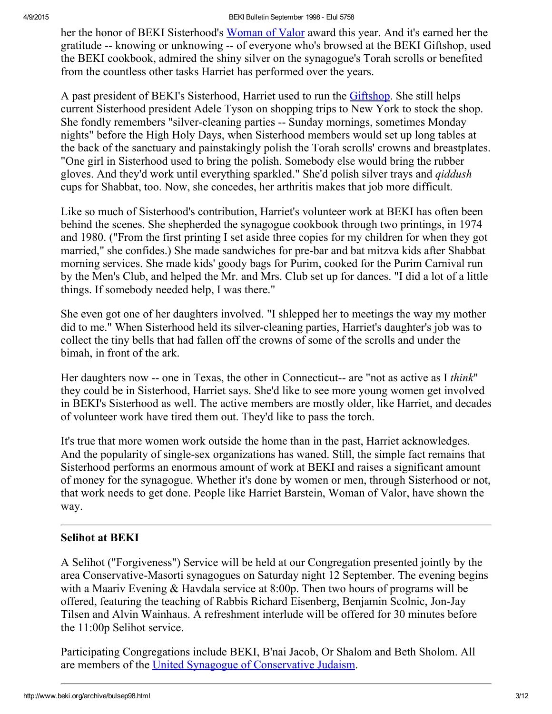her the honor of BEKI Sisterhood's [Woman](http://www.beki.org/archive/sisterhood.html#bookoflife) of Valor award this year. And it's earned her the gratitude -- knowing or unknowing -- of everyone who's browsed at the BEKI Giftshop, used the BEKI cookbook, admired the shiny silver on the synagogue's Torah scrolls or benefited from the countless other tasks Harriet has performed over the years.

A past president of BEKI's Sisterhood, Harriet used to run the [Giftshop.](http://www.beki.org/archive/sisterhood.html#giftshop) She still helps current Sisterhood president Adele Tyson on shopping trips to New York to stock the shop. She fondly remembers "silver-cleaning parties -- Sunday mornings, sometimes Monday nights" before the High Holy Days, when Sisterhood members would set up long tables at the back of the sanctuary and painstakingly polish the Torah scrolls' crowns and breastplates. "One girl in Sisterhood used to bring the polish. Somebody else would bring the rubber gloves. And they'd work until everything sparkled." She'd polish silver trays and qiddush cups for Shabbat, too. Now, she concedes, her arthritis makes that job more difficult.

Like so much of Sisterhood's contribution, Harriet's volunteer work at BEKI has often been behind the scenes. She shepherded the synagogue cookbook through two printings, in 1974 and 1980. ("From the first printing I set aside three copies for my children for when they got married," she confides.) She made sandwiches for pre-bar and bat mitzva kids after Shabbat morning services. She made kids' goody bags for Purim, cooked for the Purim Carnival run by the Men's Club, and helped the Mr. and Mrs. Club set up for dances. "I did a lot of a little things. If somebody needed help, I was there."

She even got one of her daughters involved. "I shlepped her to meetings the way my mother did to me." When Sisterhood held its silver-cleaning parties, Harriet's daughter's job was to collect the tiny bells that had fallen off the crowns of some of the scrolls and under the bimah, in front of the ark.

Her daughters now -- one in Texas, the other in Connecticut-- are "not as active as I think" they could be in Sisterhood, Harriet says. She'd like to see more young women get involved in BEKI's Sisterhood as well. The active members are mostly older, like Harriet, and decades of volunteer work have tired them out. They'd like to pass the torch.

It's true that more women work outside the home than in the past, Harriet acknowledges. And the popularity of single-sex organizations has waned. Still, the simple fact remains that Sisterhood performs an enormous amount of work at BEKI and raises a significant amount of money for the synagogue. Whether it's done by women or men, through Sisterhood or not, that work needs to get done. People like Harriet Barstein, Woman of Valor, have shown the way.

# <span id="page-2-0"></span>Selihot at BEKI

A Selihot ("Forgiveness") Service will be held at our Congregation presented jointly by the area Conservative-Masorti synagogues on Saturday night 12 September. The evening begins with a Maariv Evening & Havdala service at 8:00p. Then two hours of programs will be offered, featuring the teaching of Rabbis Richard Eisenberg, Benjamin Scolnic, Jon-Jay Tilsen and Alvin Wainhaus. A refreshment interlude will be offered for 30 minutes before the 11:00p Selihot service.

Participating Congregations include BEKI, B'nai Jacob, Or Shalom and Beth Sholom. All are members of the United Synagogue of [Conservative](http://www.beki.org/archive/www.uscj.org) Judaism.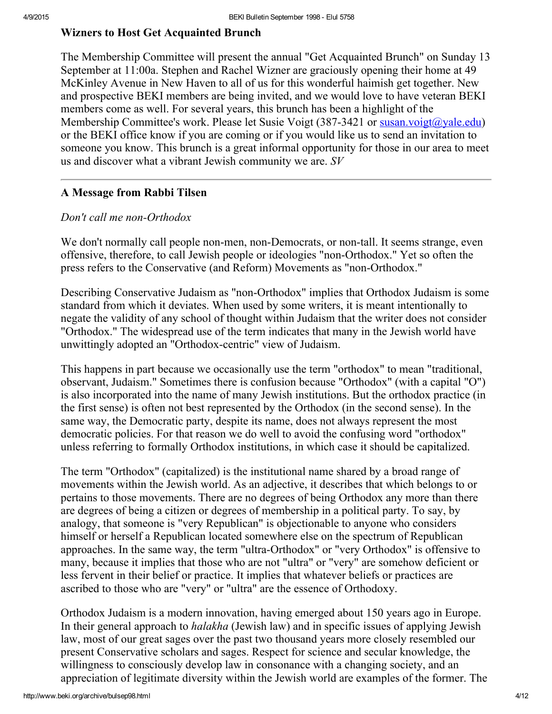#### <span id="page-3-1"></span>Wizners to Host Get Acquainted Brunch

The Membership Committee will present the annual "Get Acquainted Brunch" on Sunday 13 September at 11:00a. Stephen and Rachel Wizner are graciously opening their home at 49 McKinley Avenue in New Haven to all of us for this wonderful haimish get together. New and prospective BEKI members are being invited, and we would love to have veteran BEKI members come as well. For several years, this brunch has been a highlight of the Membership Committee's work. Please let Susie Voigt  $(387-3421 \text{ or } \frac{\text{susan.}\text{voigt}(a)}{\text{vale.edu}})$ or the BEKI office know if you are coming or if you would like us to send an invitation to someone you know. This brunch is a great informal opportunity for those in our area to meet us and discover what a vibrant Jewish community we are. SV

#### <span id="page-3-0"></span>A Message from Rabbi Tilsen

#### Don't call me non-Orthodox

We don't normally call people non-men, non-Democrats, or non-tall. It seems strange, even offensive, therefore, to call Jewish people or ideologies "non-Orthodox." Yet so often the press refers to the Conservative (and Reform) Movements as "non-Orthodox."

Describing Conservative Judaism as "non-Orthodox" implies that Orthodox Judaism is some standard from which it deviates. When used by some writers, it is meant intentionally to negate the validity of any school of thought within Judaism that the writer does not consider "Orthodox." The widespread use of the term indicates that many in the Jewish world have unwittingly adopted an "Orthodox-centric" view of Judaism.

This happens in part because we occasionally use the term "orthodox" to mean "traditional, observant, Judaism." Sometimes there is confusion because "Orthodox" (with a capital "O") is also incorporated into the name of many Jewish institutions. But the orthodox practice (in the first sense) is often not best represented by the Orthodox (in the second sense). In the same way, the Democratic party, despite its name, does not always represent the most democratic policies. For that reason we do well to avoid the confusing word "orthodox" unless referring to formally Orthodox institutions, in which case it should be capitalized.

The term "Orthodox" (capitalized) is the institutional name shared by a broad range of movements within the Jewish world. As an adjective, it describes that which belongs to or pertains to those movements. There are no degrees of being Orthodox any more than there are degrees of being a citizen or degrees of membership in a political party. To say, by analogy, that someone is "very Republican" is objectionable to anyone who considers himself or herself a Republican located somewhere else on the spectrum of Republican approaches. In the same way, the term "ultra-Orthodox" or "very Orthodox" is offensive to many, because it implies that those who are not "ultra" or "very" are somehow deficient or less fervent in their belief or practice. It implies that whatever beliefs or practices are ascribed to those who are "very" or "ultra" are the essence of Orthodoxy.

Orthodox Judaism is a modern innovation, having emerged about 150 years ago in Europe. In their general approach to *halakha* (Jewish law) and in specific issues of applying Jewish law, most of our great sages over the past two thousand years more closely resembled our present Conservative scholars and sages. Respect for science and secular knowledge, the willingness to consciously develop law in consonance with a changing society, and an appreciation of legitimate diversity within the Jewish world are examples of the former. The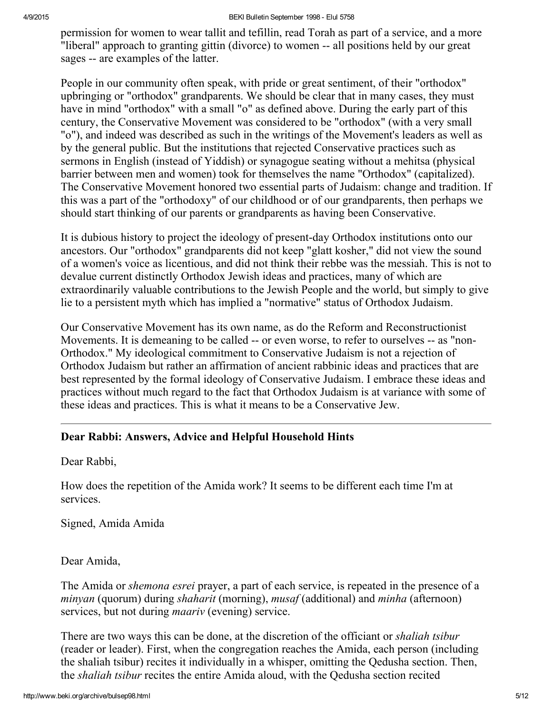permission for women to wear tallit and tefillin, read Torah as part of a service, and a more "liberal" approach to granting gittin (divorce) to women -- all positions held by our great sages -- are examples of the latter.

People in our community often speak, with pride or great sentiment, of their "orthodox" upbringing or "orthodox" grandparents. We should be clear that in many cases, they must have in mind "orthodox" with a small "o" as defined above. During the early part of this century, the Conservative Movement was considered to be "orthodox" (with a very small "o"), and indeed was described as such in the writings of the Movement's leaders as well as by the general public. But the institutions that rejected Conservative practices such as sermons in English (instead of Yiddish) or synagogue seating without a mehitsa (physical barrier between men and women) took for themselves the name "Orthodox" (capitalized). The Conservative Movement honored two essential parts of Judaism: change and tradition. If this was a part of the "orthodoxy" of our childhood or of our grandparents, then perhaps we should start thinking of our parents or grandparents as having been Conservative.

It is dubious history to project the ideology of present-day Orthodox institutions onto our ancestors. Our "orthodox" grandparents did not keep "glatt kosher," did not view the sound of a women's voice as licentious, and did not think their rebbe was the messiah. This is not to devalue current distinctly Orthodox Jewish ideas and practices, many of which are extraordinarily valuable contributions to the Jewish People and the world, but simply to give lie to a persistent myth which has implied a "normative" status of Orthodox Judaism.

Our Conservative Movement has its own name, as do the Reform and Reconstructionist Movements. It is demeaning to be called -- or even worse, to refer to ourselves -- as "non-Orthodox." My ideological commitment to Conservative Judaism is not a rejection of Orthodox Judaism but rather an affirmation of ancient rabbinic ideas and practices that are best represented by the formal ideology of Conservative Judaism. I embrace these ideas and practices without much regard to the fact that Orthodox Judaism is at variance with some of these ideas and practices. This is what it means to be a Conservative Jew.

# <span id="page-4-0"></span>Dear Rabbi: Answers, Advice and Helpful Household Hints

Dear Rabbi,

How does the repetition of the Amida work? It seems to be different each time I'm at services.

Signed, Amida Amida

# Dear Amida,

The Amida or shemona esrei prayer, a part of each service, is repeated in the presence of a minyan (quorum) during shaharit (morning), musaf (additional) and minha (afternoon) services, but not during *maariv* (evening) service.

There are two ways this can be done, at the discretion of the officiant or *shaliah tsibur* (reader or leader). First, when the congregation reaches the Amida, each person (including the shaliah tsibur) recites it individually in a whisper, omitting the Qedusha section. Then, the shaliah tsibur recites the entire Amida aloud, with the Qedusha section recited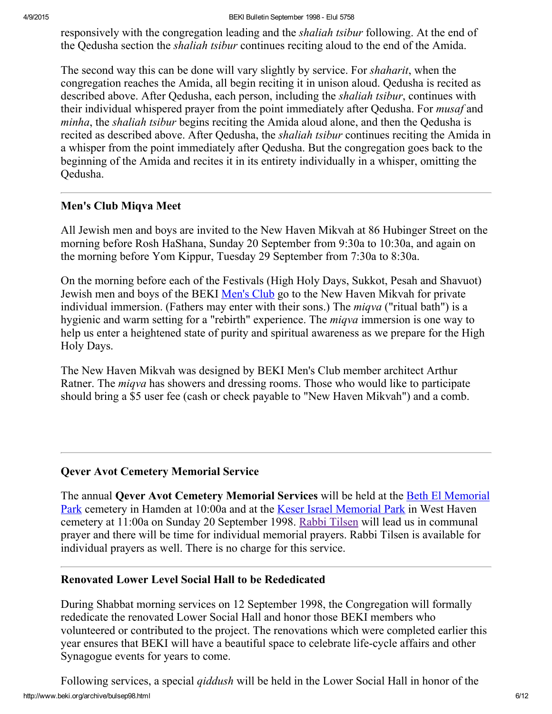responsively with the congregation leading and the *shaliah tsibur* following. At the end of the Qedusha section the shaliah tsibur continues reciting aloud to the end of the Amida.

The second way this can be done will vary slightly by service. For *shaharit*, when the congregation reaches the Amida, all begin reciting it in unison aloud. Qedusha is recited as described above. After Qedusha, each person, including the *shaliah tsibur*, continues with their individual whispered prayer from the point immediately after Qedusha. For *musaf* and minha, the *shaliah tsibur* begins reciting the Amida aloud alone, and then the Qedusha is recited as described above. After Oedusha, the *shaliah tsibur* continues reciting the Amida in a whisper from the point immediately after Qedusha. But the congregation goes back to the beginning of the Amida and recites it in its entirety individually in a whisper, omitting the Qedusha.

# <span id="page-5-0"></span>Men's Club Miqva Meet

All Jewish men and boys are invited to the New Haven Mikvah at 86 Hubinger Street on the morning before Rosh HaShana, Sunday 20 September from 9:30a to 10:30a, and again on the morning before Yom Kippur, Tuesday 29 September from 7:30a to 8:30a.

On the morning before each of the Festivals (High Holy Days, Sukkot, Pesah and Shavuot) Jewish men and boys of the BEKI [Men's](http://www.beki.org/archive/mensclub.html) Club go to the New Haven Mikvah for private individual immersion. (Fathers may enter with their sons.) The *miqva* ("ritual bath") is a hygienic and warm setting for a "rebirth" experience. The *miqva* immersion is one way to help us enter a heightened state of purity and spiritual awareness as we prepare for the High Holy Days.

The New Haven Mikvah was designed by BEKI Men's Club member architect Arthur Ratner. The *miqva* has showers and dressing rooms. Those who would like to participate should bring a \$5 user fee (cash or check payable to "New Haven Mikvah") and a comb.

# <span id="page-5-1"></span>Qever Avot Cemetery Memorial Service

The annual Qever Avot Cemetery [Memorial](http://www.beki.org/archive/findbemp.html) Services will be held at the Beth El Memorial Park cemetery in Hamden at 10:00a and at the Keser Israel [Memorial](http://www.beki.org/archive/mapfar.html) Park in West Haven cemetery at 11:00a on Sunday 20 September 1998. Rabbi [Tilsen](http://www.beki.org/archive/tilsen.html) will lead us in communal prayer and there will be time for individual memorial prayers. Rabbi Tilsen is available for individual prayers as well. There is no charge for this service.

# <span id="page-5-2"></span>Renovated Lower Level Social Hall to be Rededicated

During Shabbat morning services on 12 September 1998, the Congregation will formally rededicate the renovated Lower Social Hall and honor those BEKI members who volunteered or contributed to the project. The renovations which were completed earlier this year ensures that BEKI will have a beautiful space to celebrate life-cycle affairs and other Synagogue events for years to come.

http://www.beki.org/archive/bulsep98.html 6/12 Following services, a special qiddush will be held in the Lower Social Hall in honor of the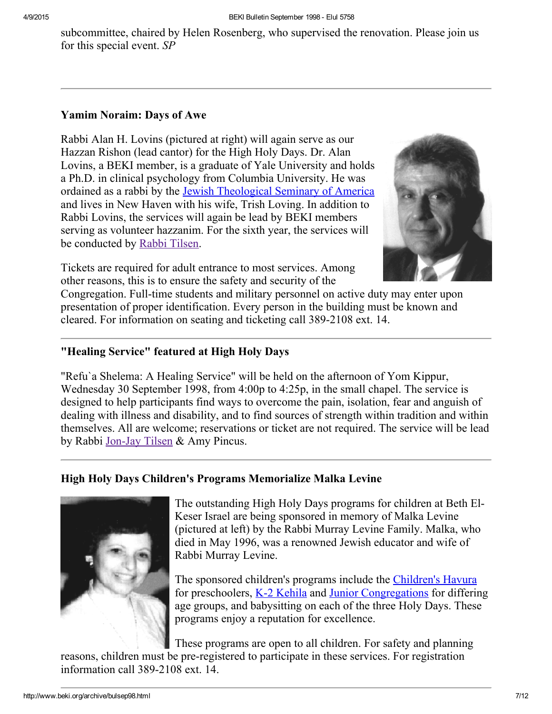subcommittee, chaired by Helen Rosenberg, who supervised the renovation. Please join us for this special event. SP

# <span id="page-6-2"></span>Yamim Noraim: Days of Awe

Rabbi Alan H. Lovins (pictured at right) will again serve as our Hazzan Rishon (lead cantor) for the High Holy Days. Dr. Alan Lovins, a BEKI member, is a graduate of Yale University and holds a Ph.D. in clinical psychology from Columbia University. He was ordained as a rabbi by the Jewish [Theological](http://www.jtsa.edu/) Seminary of America and lives in New Haven with his wife, Trish Loving. In addition to Rabbi Lovins, the services will again be lead by BEKI members serving as volunteer hazzanim. For the sixth year, the services will be conducted by Rabbi [Tilsen.](http://www.beki.org/archive/tilsen.html)





Congregation. Full-time students and military personnel on active duty may enter upon presentation of proper identification. Every person in the building must be known and cleared. For information on seating and ticketing call 389-2108 ext. 14.

# <span id="page-6-1"></span>"Healing Service" featured at High Holy Days

"Refu`a Shelema: A Healing Service" will be held on the afternoon of Yom Kippur, Wednesday 30 September 1998, from 4:00p to 4:25p, in the small chapel. The service is designed to help participants find ways to overcome the pain, isolation, fear and anguish of dealing with illness and disability, and to find sources of strength within tradition and within themselves. All are welcome; reservations or ticket are not required. The service will be lead by Rabbi Jon-Jay Tilsen & Amy Pincus.

# <span id="page-6-0"></span>High Holy Days Children's Programs Memorialize Malka Levine



The outstanding High Holy Days programs for children at Beth El-Keser Israel are being sponsored in memory of Malka Levine (pictured at left) by the Rabbi Murray Levine Family. Malka, who died in May 1996, was a renowned Jewish educator and wife of Rabbi Murray Levine.

The sponsored children's programs include the [Children's](http://www.beki.org/archive/youth.html#cshavura) Havura for preschoolers, K-2 [Kehila](http://www.beki.org/archive/youth.html#k-2kehila) and Junior [Congregations](http://www.beki.org/archive/youth.html#junior) for differing age groups, and babysitting on each of the three Holy Days. These programs enjoy a reputation for excellence.

These programs are open to all children. For safety and planning reasons, children must be pre-registered to participate in these services. For registration information call 389-2108 ext. 14.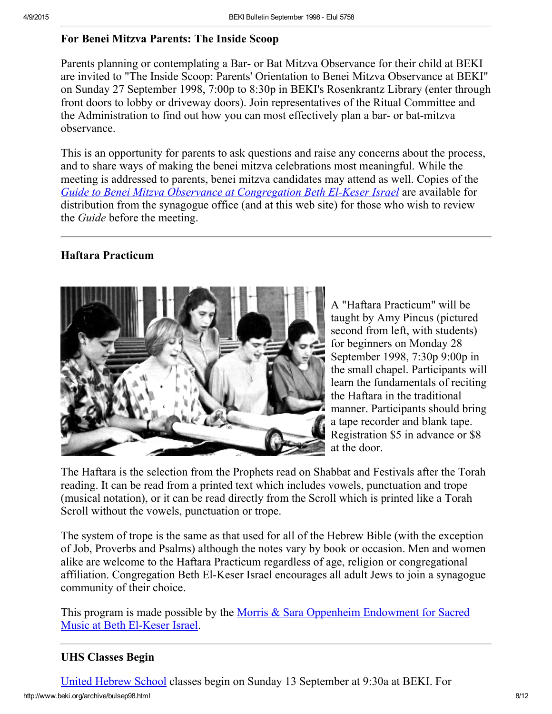# <span id="page-7-0"></span>For Benei Mitzva Parents: The Inside Scoop

Parents planning or contemplating a Bar- or Bat Mitzva Observance for their child at BEKI are invited to "The Inside Scoop: Parents' Orientation to Benei Mitzva Observance at BEKI" on Sunday 27 September 1998, 7:00p to 8:30p in BEKI's Rosenkrantz Library (enter through front doors to lobby or driveway doors). Join representatives of the Ritual Committee and the Administration to find out how you can most effectively plan a bar- or bat-mitzva observance.

This is an opportunity for parents to ask questions and raise any concerns about the process, and to share ways of making the benei mitzva celebrations most meaningful. While the meeting is addressed to parents, benei mitzva candidates may attend as well. Copies of the Guide to Benei Mitzva Observance at [Congregation](http://www.beki.org/archive/bmpolicy.html) Beth El-Keser Israel are available for distribution from the synagogue office (and at this web site) for those who wish to review the Guide before the meeting.

# <span id="page-7-2"></span>Haftara Practicum



A "Haftara Practicum" will be taught by Amy Pincus (pictured second from left, with students) for beginners on Monday 28 September 1998, 7:30p 9:00p in the small chapel. Participants will learn the fundamentals of reciting the Haftara in the traditional manner. Participants should bring a tape recorder and blank tape. Registration \$5 in advance or \$8 at the door.

The Haftara is the selection from the Prophets read on Shabbat and Festivals after the Torah reading. It can be read from a printed text which includes vowels, punctuation and trope (musical notation), or it can be read directly from the Scroll which is printed like a Torah Scroll without the vowels, punctuation or trope.

The system of trope is the same as that used for all of the Hebrew Bible (with the exception of Job, Proverbs and Psalms) although the notes vary by book or occasion. Men and women alike are welcome to the Haftara Practicum regardless of age, religion or congregational affiliation. Congregation Beth El-Keser Israel encourages all adult Jews to join a synagogue community of their choice.

This program is made possible by the Morris & Sara Oppenheim [Endowment](http://www.beki.org/archive/endowments.html#oppenheim) for Sacred Music at Beth El-Keser Israel.

# <span id="page-7-1"></span>UHS Classes Begin

http://www.beki.org/archive/bulsep98.html 8/12 United [Hebrew](http://www.beki.org/archive/youth.html#UHS) School classes begin on Sunday 13 September at 9:30a at BEKI. For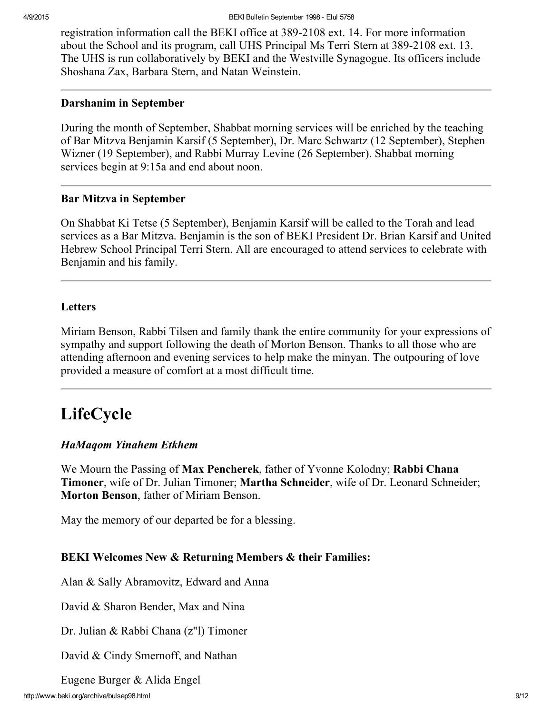registration information call the BEKI office at 389-2108 ext. 14. For more information about the School and its program, call UHS Principal Ms Terri Stern at 389-2108 ext. 13. The UHS is run collaboratively by BEKI and the Westville Synagogue. Its officers include Shoshana Zax, Barbara Stern, and Natan Weinstein.

#### <span id="page-8-1"></span>Darshanim in September

During the month of September, Shabbat morning services will be enriched by the teaching of Bar Mitzva Benjamin Karsif (5 September), Dr. Marc Schwartz (12 September), Stephen Wizner (19 September), and Rabbi Murray Levine (26 September). Shabbat morning services begin at 9:15a and end about noon.

# <span id="page-8-3"></span>Bar Mitzva in September

On Shabbat Ki Tetse (5 September), Benjamin Karsif will be called to the Torah and lead services as a Bar Mitzva. Benjamin is the son of BEKI President Dr. Brian Karsif and United Hebrew School Principal Terri Stern. All are encouraged to attend services to celebrate with Benjamin and his family.

# <span id="page-8-0"></span>**Letters**

Miriam Benson, Rabbi Tilsen and family thank the entire community for your expressions of sympathy and support following the death of Morton Benson. Thanks to all those who are attending afternoon and evening services to help make the minyan. The outpouring of love provided a measure of comfort at a most difficult time.

# <span id="page-8-2"></span>LifeCycle

# HaMaqom Yinahem Etkhem

We Mourn the Passing of **Max Pencherek**, father of Yvonne Kolodny; **Rabbi Chana** Timoner, wife of Dr. Julian Timoner; Martha Schneider, wife of Dr. Leonard Schneider; Morton Benson, father of Miriam Benson.

May the memory of our departed be for a blessing.

# BEKI Welcomes New & Returning Members & their Families:

Alan & Sally Abramovitz, Edward and Anna

David & Sharon Bender, Max and Nina

Dr. Julian & Rabbi Chana (z"l) Timoner

David & Cindy Smernoff, and Nathan

Eugene Burger & Alida Engel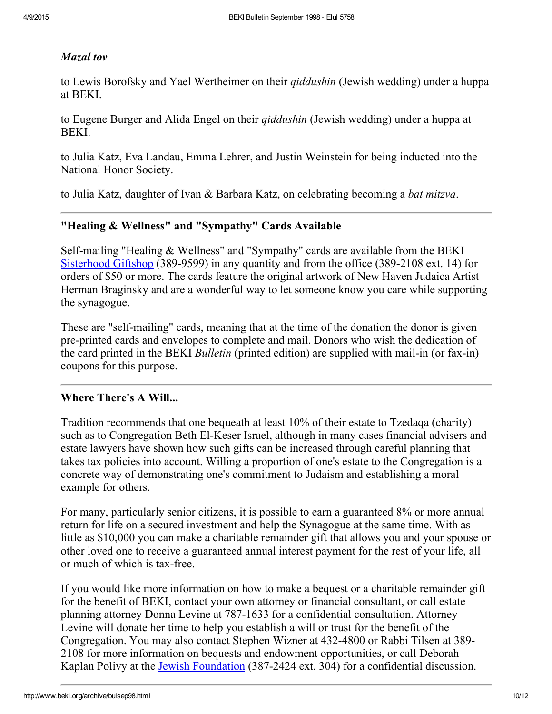# Mazal tov

to Lewis Borofsky and Yael Wertheimer on their *qiddushin* (Jewish wedding) under a huppa at BEKI.

to Eugene Burger and Alida Engel on their *qiddushin* (Jewish wedding) under a huppa at BEKI.

to Julia Katz, Eva Landau, Emma Lehrer, and Justin Weinstein for being inducted into the National Honor Society.

to Julia Katz, daughter of Ivan & Barbara Katz, on celebrating becoming a bat mitzva.

# <span id="page-9-0"></span>"Healing & Wellness" and "Sympathy" Cards Available

Self-mailing "Healing  $&$  Wellness" and "Sympathy" cards are available from the BEKI [Sisterhood](http://www.beki.org/archive/sisterhood.html#giftshop) Giftshop (389-9599) in any quantity and from the office (389-2108 ext. 14) for orders of \$50 or more. The cards feature the original artwork of New Haven Judaica Artist Herman Braginsky and are a wonderful way to let someone know you care while supporting the synagogue.

These are "self-mailing" cards, meaning that at the time of the donation the donor is given pre-printed cards and envelopes to complete and mail. Donors who wish the dedication of the card printed in the BEKI *Bulletin* (printed edition) are supplied with mail-in (or fax-in) coupons for this purpose.

# <span id="page-9-1"></span>Where There's A Will...

Tradition recommends that one bequeath at least 10% of their estate to Tzedaqa (charity) such as to Congregation Beth El-Keser Israel, although in many cases financial advisers and estate lawyers have shown how such gifts can be increased through careful planning that takes tax policies into account. Willing a proportion of one's estate to the Congregation is a concrete way of demonstrating one's commitment to Judaism and establishing a moral example for others.

For many, particularly senior citizens, it is possible to earn a guaranteed 8% or more annual return for life on a secured investment and help the Synagogue at the same time. With as little as \$10,000 you can make a charitable remainder gift that allows you and your spouse or other loved one to receive a guaranteed annual interest payment for the rest of your life, all or much of which is tax-free.

If you would like more information on how to make a bequest or a charitable remainder gift for the benefit of BEKI, contact your own attorney or financial consultant, or call estate planning attorney Donna Levine at 787-1633 for a confidential consultation. Attorney Levine will donate her time to help you establish a will or trust for the benefit of the Congregation. You may also contact Stephen Wizner at 432-4800 or Rabbi Tilsen at 389-2108 for more information on bequests and endowment opportunities, or call Deborah Kaplan Polivy at the **Jewish [Foundation](http://www.jewishnewhaven.org/FOUNDTN.htm)** (387-2424 ext. 304) for a confidential discussion.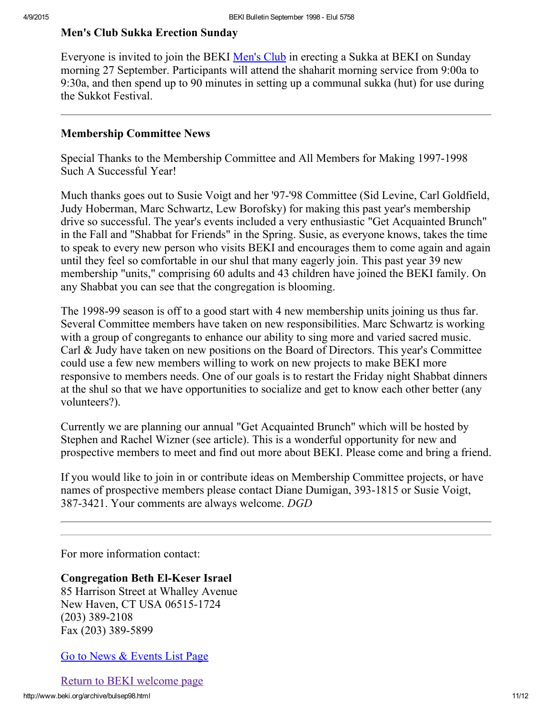# <span id="page-10-1"></span>Men's Club Sukka Erection Sunday

Everyone is invited to join the BEKI [Men's](http://www.beki.org/archive/mensclub.html#sukka) Club in erecting a Sukka at BEKI on Sunday morning 27 September. Participants will attend the shaharit morning service from 9:00a to 9:30a, and then spend up to 90 minutes in setting up a communal sukka (hut) for use during the Sukkot Festival.

#### <span id="page-10-0"></span>Membership Committee News

Special Thanks to the Membership Committee and All Members for Making 1997-1998 Such A Successful Year!

Much thanks goes out to Susie Voigt and her '97-'98 Committee (Sid Levine, Carl Goldfield, Judy Hoberman, Marc Schwartz, Lew Borofsky) for making this past year's membership drive so successful. The year's events included a very enthusiastic "Get Acquainted Brunch" in the Fall and "Shabbat for Friends" in the Spring. Susie, as everyone knows, takes the time to speak to every new person who visits BEKI and encourages them to come again and again until they feel so comfortable in our shul that many eagerly join. This past year 39 new membership "units," comprising 60 adults and 43 children have joined the BEKI family. On any Shabbat you can see that the congregation is blooming.

The 1998-99 season is off to a good start with 4 new membership units joining us thus far. Several Committee members have taken on new responsibilities. Marc Schwartz is working with a group of congregants to enhance our ability to sing more and varied sacred music. Carl & Judy have taken on new positions on the Board of Directors. This year's Committee could use a few new members willing to work on new projects to make BEKI more responsive to members needs. One of our goals is to restart the Friday night Shabbat dinners at the shul so that we have opportunities to socialize and get to know each other better (any volunteers?).

Currently we are planning our annual "Get Acquainted Brunch" which will be hosted by Stephen and Rachel Wizner (see article). This is a wonderful opportunity for new and prospective members to meet and find out more about BEKI. Please come and bring a friend.

If you would like to join in or contribute ideas on Membership Committee projects, or have names of prospective members please contact Diane Dumigan, 393-1815 or Susie Voigt, 387-3421. Your comments are always welcome. DGD

For more information contact:

**Congregation Beth El-Keser Israel** 85 Harrison Street at Whalley Avenue New Haven, CT USA 065151724  $(203)$  389-2108 Fax (203) 389-5899

#### Go to News & [Events](http://www.beki.org/archive/newsindex.html) List Page

Return to BEKI [welcome](http://www.beki.org/archive/index.html) page